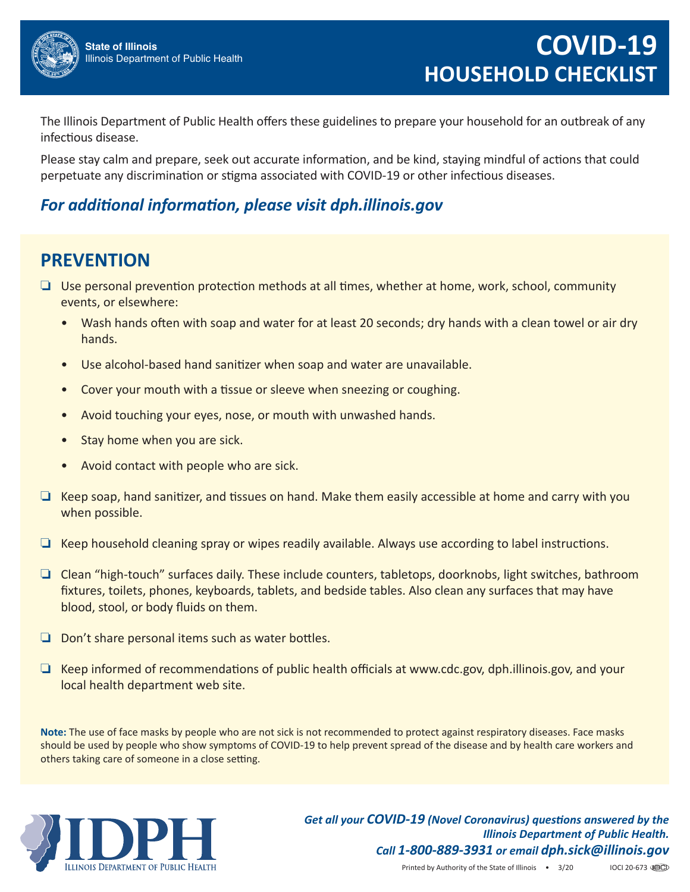

The Illinois Department of Public Health offers these guidelines to prepare your household for an outbreak of any infectious disease.

Please stay calm and prepare, seek out accurate information, and be kind, staying mindful of actions that could perpetuate any discrimination or stigma associated with COVID‐19 or other infectious diseases.

## *For additional information, please visit dph.illinois.gov*

## **PREVENTION**

- ❏ Use personal prevention protection methods at all times, whether at home, work, school, community events, or elsewhere:
	- Wash hands often with soap and water for at least 20 seconds; dry hands with a clean towel or air dry hands.
	- Use alcohol-based hand sanitizer when soap and water are unavailable.
	- Cover your mouth with a tissue or sleeve when sneezing or coughing.
	- Avoid touching your eyes, nose, or mouth with unwashed hands.
	- Stay home when you are sick.
	- Avoid contact with people who are sick.
- ❏ Keep soap, hand sanitizer, and tissues on hand. Make them easily accessible at home and carry with you when possible.
- ❏ Keep household cleaning spray or wipes readily available. Always use according to label instructions.
- ❏ Clean "high‐touch" surfaces daily. These include counters, tabletops, doorknobs, light switches, bathroom fixtures, toilets, phones, keyboards, tablets, and bedside tables. Also clean any surfaces that may have blood, stool, or body fluids on them.
- ❏ Don't share personal items such as water bottles.
- ❏ Keep informed of recommendations of public health officials at www.cdc.gov, dph.illinois.gov, and your local health department web site.

**Note:** The use of face masks by people who are not sick is not recommended to protect against respiratory diseases. Face masks should be used by people who show symptoms of COVID‐19 to help prevent spread of the disease and by health care workers and others taking care of someone in a close setting.



*Get all your COVID‐19 (Novel Coronavirus) questions answered by the Illinois Department of Public Health. Call 1‐800‐889‐3931 or email dph.sick@illinois.gov*